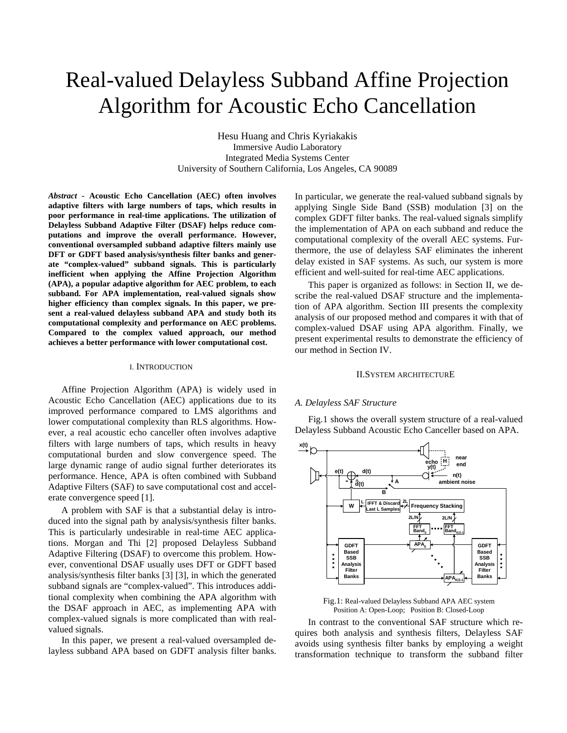# Real-valued Delayless Subband Affine Projection Algorithm for Acoustic Echo Cancellation

Hesu Huang and Chris Kyriakakis Immersive Audio Laboratory Integrated Media Systems Center University of Southern California, Los Angeles, CA 90089

*Abstract -* **Acoustic Echo Cancellation (AEC) often involves adaptive filters with large numbers of taps, which results in poor performance in real-time applications. The utilization of Delayless Subband Adaptive Filter (DSAF) helps reduce computations and improve the overall performance. However, conventional oversampled subband adaptive filters mainly use DFT or GDFT based analysis/synthesis filter banks and generate "complex-valued" subband signals. This is particularly inefficient when applying the Affine Projection Algorithm (APA), a popular adaptive algorithm for AEC problem, to each subband. For APA implementation, real-valued signals show higher efficiency than complex signals. In this paper, we present a real-valued delayless subband APA and study both its computational complexity and performance on AEC problems. Compared to the complex valued approach, our method achieves a better performance with lower computational cost.** 

# I. INTRODUCTION

Affine Projection Algorithm (APA) is widely used in Acoustic Echo Cancellation (AEC) applications due to its improved performance compared to LMS algorithms and lower computational complexity than RLS algorithms. However, a real acoustic echo canceller often involves adaptive filters with large numbers of taps, which results in heavy computational burden and slow convergence speed. The large dynamic range of audio signal further deteriorates its performance. Hence, APA is often combined with Subband Adaptive Filters (SAF) to save computational cost and accelerate convergence speed [1].

A problem with SAF is that a substantial delay is introduced into the signal path by analysis/synthesis filter banks. This is particularly undesirable in real-time AEC applications. Morgan and Thi [2] proposed Delayless Subband Adaptive Filtering (DSAF) to overcome this problem. However, conventional DSAF usually uses DFT or GDFT based analysis/synthesis filter banks [3] [3], in which the generated subband signals are "complex-valued". This introduces additional complexity when combining the APA algorithm with the DSAF approach in AEC, as implementing APA with complex-valued signals is more complicated than with realvalued signals.

In this paper, we present a real-valued oversampled delayless subband APA based on GDFT analysis filter banks. In particular, we generate the real-valued subband signals by applying Single Side Band (SSB) modulation [3] on the complex GDFT filter banks. The real-valued signals simplify the implementation of APA on each subband and reduce the computational complexity of the overall AEC systems. Furthermore, the use of delayless SAF eliminates the inherent delay existed in SAF systems. As such, our system is more efficient and well-suited for real-time AEC applications.

This paper is organized as follows: in Section II, we describe the real-valued DSAF structure and the implementation of APA algorithm. Section III presents the complexity analysis of our proposed method and compares it with that of complex-valued DSAF using APA algorithm. Finally, we present experimental results to demonstrate the efficiency of our method in Section IV.

## II.SYSTEM ARCHITECTURE

## *A. Delayless SAF Structure*

Fig.1 shows the overall system structure of a real-valued Delayless Subband Acoustic Echo Canceller based on APA.



Fig.1: Real-valued Delayless Subband APA AEC system Position A: Open-Loop; Position B: Closed-Loop

In contrast to the conventional SAF structure which requires both analysis and synthesis filters, Delayless SAF avoids using synthesis filter banks by employing a weight transformation technique to transform the subband filter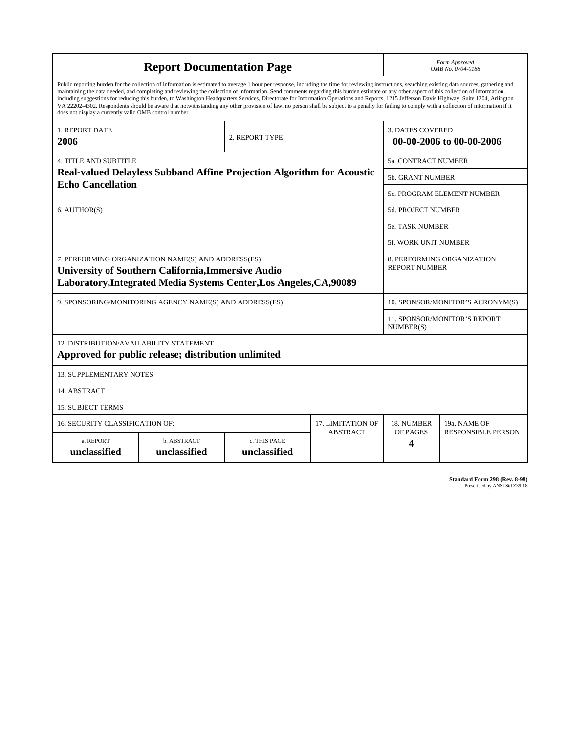| <b>Report Documentation Page</b>                                                                                                                                                                                                                                                                                                                                                                                                                                                                                                                                                                                                                                                                                                                                                                                                                                   |                             |                              |                                                     | Form Approved<br>OMB No. 0704-0188                 |                           |
|--------------------------------------------------------------------------------------------------------------------------------------------------------------------------------------------------------------------------------------------------------------------------------------------------------------------------------------------------------------------------------------------------------------------------------------------------------------------------------------------------------------------------------------------------------------------------------------------------------------------------------------------------------------------------------------------------------------------------------------------------------------------------------------------------------------------------------------------------------------------|-----------------------------|------------------------------|-----------------------------------------------------|----------------------------------------------------|---------------------------|
| Public reporting burden for the collection of information is estimated to average 1 hour per response, including the time for reviewing instructions, searching existing data sources, gathering and<br>maintaining the data needed, and completing and reviewing the collection of information. Send comments regarding this burden estimate or any other aspect of this collection of information,<br>including suggestions for reducing this burden, to Washington Headquarters Services, Directorate for Information Operations and Reports, 1215 Jefferson Davis Highway, Suite 1204, Arlington<br>VA 22202-4302. Respondents should be aware that notwithstanding any other provision of law, no person shall be subject to a penalty for failing to comply with a collection of information if it<br>does not display a currently valid OMB control number. |                             |                              |                                                     |                                                    |                           |
| <b>1. REPORT DATE</b><br>2. REPORT TYPE<br>2006                                                                                                                                                                                                                                                                                                                                                                                                                                                                                                                                                                                                                                                                                                                                                                                                                    |                             |                              | <b>3. DATES COVERED</b><br>00-00-2006 to 00-00-2006 |                                                    |                           |
| <b>4. TITLE AND SUBTITLE</b>                                                                                                                                                                                                                                                                                                                                                                                                                                                                                                                                                                                                                                                                                                                                                                                                                                       |                             |                              |                                                     | 5a. CONTRACT NUMBER                                |                           |
| <b>Real-valued Delayless Subband Affine Projection Algorithm for Acoustic</b><br><b>Echo Cancellation</b>                                                                                                                                                                                                                                                                                                                                                                                                                                                                                                                                                                                                                                                                                                                                                          |                             |                              |                                                     | <b>5b. GRANT NUMBER</b>                            |                           |
|                                                                                                                                                                                                                                                                                                                                                                                                                                                                                                                                                                                                                                                                                                                                                                                                                                                                    |                             |                              |                                                     | 5c. PROGRAM ELEMENT NUMBER                         |                           |
| 6. AUTHOR(S)                                                                                                                                                                                                                                                                                                                                                                                                                                                                                                                                                                                                                                                                                                                                                                                                                                                       |                             |                              |                                                     | <b>5d. PROJECT NUMBER</b>                          |                           |
|                                                                                                                                                                                                                                                                                                                                                                                                                                                                                                                                                                                                                                                                                                                                                                                                                                                                    |                             |                              |                                                     | <b>5e. TASK NUMBER</b>                             |                           |
|                                                                                                                                                                                                                                                                                                                                                                                                                                                                                                                                                                                                                                                                                                                                                                                                                                                                    |                             |                              |                                                     | <b>5f. WORK UNIT NUMBER</b>                        |                           |
| 7. PERFORMING ORGANIZATION NAME(S) AND ADDRESS(ES)<br><b>University of Southern California, Immersive Audio</b><br>Laboratory, Integrated Media Systems Center, Los Angeles, CA, 90089                                                                                                                                                                                                                                                                                                                                                                                                                                                                                                                                                                                                                                                                             |                             |                              |                                                     | 8. PERFORMING ORGANIZATION<br><b>REPORT NUMBER</b> |                           |
| 9. SPONSORING/MONITORING AGENCY NAME(S) AND ADDRESS(ES)                                                                                                                                                                                                                                                                                                                                                                                                                                                                                                                                                                                                                                                                                                                                                                                                            |                             |                              |                                                     | 10. SPONSOR/MONITOR'S ACRONYM(S)                   |                           |
|                                                                                                                                                                                                                                                                                                                                                                                                                                                                                                                                                                                                                                                                                                                                                                                                                                                                    |                             |                              |                                                     | <b>11. SPONSOR/MONITOR'S REPORT</b><br>NUMBER(S)   |                           |
| 12. DISTRIBUTION/AVAILABILITY STATEMENT<br>Approved for public release; distribution unlimited                                                                                                                                                                                                                                                                                                                                                                                                                                                                                                                                                                                                                                                                                                                                                                     |                             |                              |                                                     |                                                    |                           |
| <b>13. SUPPLEMENTARY NOTES</b>                                                                                                                                                                                                                                                                                                                                                                                                                                                                                                                                                                                                                                                                                                                                                                                                                                     |                             |                              |                                                     |                                                    |                           |
| 14. ABSTRACT                                                                                                                                                                                                                                                                                                                                                                                                                                                                                                                                                                                                                                                                                                                                                                                                                                                       |                             |                              |                                                     |                                                    |                           |
| <b>15. SUBJECT TERMS</b>                                                                                                                                                                                                                                                                                                                                                                                                                                                                                                                                                                                                                                                                                                                                                                                                                                           |                             |                              |                                                     |                                                    |                           |
| 16. SECURITY CLASSIFICATION OF:<br><b>17. LIMITATION OF</b>                                                                                                                                                                                                                                                                                                                                                                                                                                                                                                                                                                                                                                                                                                                                                                                                        |                             |                              |                                                     | 18. NUMBER                                         | 19a. NAME OF              |
| a. REPORT<br>unclassified                                                                                                                                                                                                                                                                                                                                                                                                                                                                                                                                                                                                                                                                                                                                                                                                                                          | b. ABSTRACT<br>unclassified | c. THIS PAGE<br>unclassified | <b>ABSTRACT</b>                                     | OF PAGES<br>4                                      | <b>RESPONSIBLE PERSON</b> |

**Standard Form 298 (Rev. 8-98)**<br>Prescribed by ANSI Std Z39-18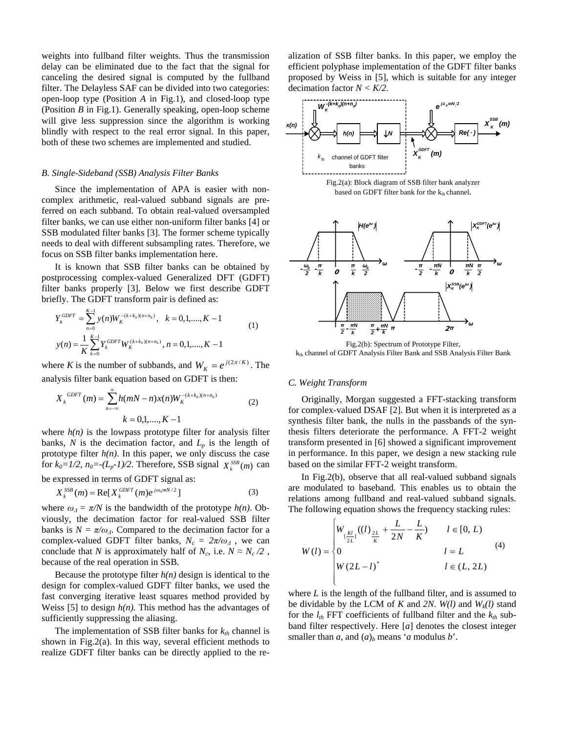weights into fullband filter weights. Thus the transmission delay can be eliminated due to the fact that the signal for canceling the desired signal is computed by the fullband filter. The Delayless SAF can be divided into two categories: open-loop type (Position *A* in Fig.1), and closed-loop type (Position *B* in Fig.1). Generally speaking, open-loop scheme will give less suppression since the algorithm is working blindly with respect to the real error signal. In this paper, both of these two schemes are implemented and studied.

# *B. Single-Sideband (SSB) Analysis Filter Banks*

Since the implementation of APA is easier with noncomplex arithmetic, real-valued subband signals are preferred on each subband. To obtain real-valued oversampled filter banks, we can use either non-uniform filter banks [4] or SSB modulated filter banks [3]. The former scheme typically needs to deal with different subsampling rates. Therefore, we focus on SSB filter banks implementation here.

It is known that SSB filter banks can be obtained by postprocessing complex-valued Generalized DFT (GDFT) filter banks properly [3]. Below we first describe GDFT briefly. The GDFT transform pair is defined as:

$$
Y_k^{GDFT} = \sum_{n=0}^{K-1} y(n) W_K^{-(k+k_0)(n+n_0)}, \quad k = 0, 1, \dots, K-1
$$
  

$$
y(n) = \frac{1}{K} \sum_{k=0}^{K-1} Y_k^{GDFT} W_K^{(k+k_0)(n+n_0)}, \quad n = 0, 1, \dots, K-1
$$
 (1)

where *K* is the number of subbands, and  $W_K = e^{j(2\pi/K)}$ . The analysis filter bank equation based on GDFT is then:

$$
X_k^{GDFT}(m) = \sum_{n=-\infty}^{\infty} h(mN-n)x(n)W_K^{-(k+k_0)(n+n_0)}
$$
\n
$$
k = 0,1,\dots, K-1
$$
\n(2)

where  $h(n)$  is the lowpass prototype filter for analysis filter banks,  $N$  is the decimation factor, and  $L_p$  is the length of prototype filter  $h(n)$ . In this paper, we only discuss the case for  $k_0 = 1/2$ ,  $n_0 = -(L_p - 1)/2$ . Therefore, SSB signal  $X_k^{SSB}(m)$  can be expressed in terms of GDFT signal as:

$$
X_k^{SSB}(m) = \text{Re}[X_k^{GDFT}(m)e^{j\omega_{\Delta}mN/2}]
$$
\n(3)

where  $\omega_{\Delta} = \pi/N$  is the bandwidth of the prototype  $h(n)$ . Obviously, the decimation factor for real-valued SSB filter banks is  $N = \pi/\omega_A$ . Compared to the decimation factor for a complex-valued GDFT filter banks,  $N_c = 2\pi/\omega_A$ , we can conclude that *N* is approximately half of  $N_c$ , i.e.  $N \approx N_c / 2$ , because of the real operation in SSB.

Because the prototype filter  $h(n)$  design is identical to the design for complex-valued GDFT filter banks, we used the fast converging iterative least squares method provided by Weiss [5] to design  $h(n)$ . This method has the advantages of sufficiently suppressing the aliasing.

The implementation of SSB filter banks for  $k_{th}$  channel is shown in Fig.2(a). In this way, several efficient methods to realize GDFT filter banks can be directly applied to the re-

alization of SSB filter banks. In this paper, we employ the efficient polyphase implementation of the GDFT filter banks proposed by Weiss in [5], which is suitable for any integer decimation factor *N < K/2*.





Fig.2(b): Spectrum of Prototype Filter, kth channel of GDFT Analysis Filter Bank and SSB Analysis Filter Bank

#### *C. Weight Transform*

Originally, Morgan suggested a FFT-stacking transform for complex-valued DSAF [2]. But when it is interpreted as a synthesis filter bank, the nulls in the passbands of the synthesis filters deteriorate the performance. A FFT-2 weight transform presented in [6] showed a significant improvement in performance. In this paper, we design a new stacking rule based on the similar FFT-2 weight transform.

In Fig.2(b), observe that all real-valued subband signals are modulated to baseband. This enables us to obtain the relations among fullband and real-valued subband signals. The following equation shows the frequency stacking rules:

$$
W(l) = \begin{cases} W_{\left(\frac{Kl}{2L}\right)}((l)_{\frac{2L}{K}} + \frac{L}{2N} - \frac{L}{K}) & l \in [0, L) \\ 0 & l = L \\ W(2L - l)^* & l \in (L, 2L) \end{cases}
$$
(4)

where *L* is the length of the fullband filter, and is assumed to be dividable by the LCM of *K* and 2*N*.  $W(l)$  and  $W_k(l)$  stand for the  $l_{th}$  FFT coefficients of fullband filter and the  $k_{th}$  subband filter respectively. Here [*a*] denotes the closest integer smaller than *a*, and  $(a)_b$  means '*a* modulus *b*'.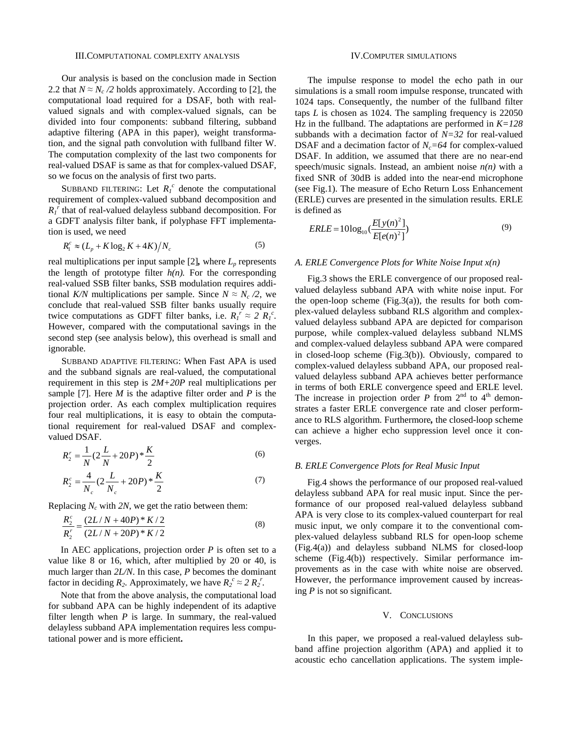Our analysis is based on the conclusion made in Section 2.2 that  $N \approx N_c/2$  holds approximately. According to [2], the computational load required for a DSAF, both with realvalued signals and with complex-valued signals, can be divided into four components: subband filtering, subband adaptive filtering (APA in this paper), weight transformation, and the signal path convolution with fullband filter W. The computation complexity of the last two components for real-valued DSAF is same as that for complex-valued DSAF, so we focus on the analysis of first two parts.

SUBBAND FILTERING: Let  $R_I^c$  denote the computational requirement of complex-valued subband decomposition and  $R_I^{\hat{r}}$  that of real-valued delayless subband decomposition. For a GDFT analysis filter bank, if polyphase FFT implementation is used, we need

$$
R_{1}^{c} \approx (L_{p} + K \log_{2} K + 4K) / N_{c}
$$
 (5)

real multiplications per input sample  $[2]$ , where  $L_p$  represents the length of prototype filter  $h(n)$ . For the corresponding real-valued SSB filter banks, SSB modulation requires additional *K/N* multiplications per sample. Since  $N \approx N_c/2$ , we conclude that real-valued SSB filter banks usually require twice computations as GDFT filter banks, i.e.  $R_I^r \approx 2 R_I^c$ . However, compared with the computational savings in the second step (see analysis below), this overhead is small and ignorable.

SUBBAND ADAPTIVE FILTERING: When Fast APA is used and the subband signals are real-valued, the computational requirement in this step is *2M+20P* real multiplications per sample [7]. Here *M* is the adaptive filter order and *P* is the projection order. As each complex multiplication requires four real multiplications, it is easy to obtain the computational requirement for real-valued DSAF and complexvalued DSAF.

$$
R_2^r = \frac{1}{N} (2\frac{L}{N} + 20P)^* \frac{K}{2}
$$
 (6)

$$
R_2^c = \frac{4}{N_c} (2\frac{L}{N_c} + 20P)^* \frac{K}{2}
$$
 (7)

Replacing  $N_c$  with 2N, we get the ratio between them:

$$
\frac{R_2^c}{R_2^r} = \frac{(2L/N + 40P) * K/2}{(2L/N + 20P) * K/2}
$$
\n(8)

In AEC applications, projection order *P* is often set to a value like 8 or 16, which, after multiplied by 20 or 40, is much larger than *2L/N*. In this case, *P* becomes the dominant factor in deciding  $R_2$ . Approximately, we have  $R_2^c \approx 2 R_2^r$ .

Note that from the above analysis, the computational load for subband APA can be highly independent of its adaptive filter length when  $P$  is large. In summary, the real-valued delayless subband APA implementation requires less computational power and is more efficient**.** 

## IV.COMPUTER SIMULATIONS

The impulse response to model the echo path in our simulations is a small room impulse response, truncated with 1024 taps. Consequently, the number of the fullband filter taps *L* is chosen as 1024. The sampling frequency is 22050 Hz in the fullband. The adaptations are performed in *K=128* subbands with a decimation factor of *N=32* for real-valued DSAF and a decimation factor of  $N_c = 64$  for complex-valued DSAF. In addition, we assumed that there are no near-end speech/music signals. Instead, an ambient noise *n(n)* with a fixed SNR of 30dB is added into the near-end microphone (see Fig.1). The measure of Echo Return Loss Enhancement (ERLE) curves are presented in the simulation results. ERLE is defined as

$$
ERLE = 10\log_{10}\left(\frac{E[y(n)^{2}]}{E[e(n)^{2}]} \right)
$$
\n(9)

## *A. ERLE Convergence Plots for White Noise Input x(n)*

Fig.3 shows the ERLE convergence of our proposed realvalued delayless subband APA with white noise input. For the open-loop scheme  $(Fig.3(a))$ , the results for both complex-valued delayless subband RLS algorithm and complexvalued delayless subband APA are depicted for comparison purpose, while complex-valued delayless subband NLMS and complex-valued delayless subband APA were compared in closed-loop scheme (Fig.3(b)). Obviously, compared to complex-valued delayless subband APA, our proposed realvalued delayless subband APA achieves better performance in terms of both ERLE convergence speed and ERLE level. The increase in projection order  $P$  from  $2<sup>nd</sup>$  to  $4<sup>th</sup>$  demonstrates a faster ERLE convergence rate and closer performance to RLS algorithm. Furthermore*,* the closed-loop scheme can achieve a higher echo suppression level once it converges.

#### *B. ERLE Convergence Plots for Real Music Input*

Fig.4 shows the performance of our proposed real-valued delayless subband APA for real music input. Since the performance of our proposed real-valued delayless subband APA is very close to its complex-valued counterpart for real music input, we only compare it to the conventional complex-valued delayless subband RLS for open-loop scheme (Fig.4(a)) and delayless subband NLMS for closed-loop scheme (Fig.4(b)) respectively. Similar performance improvements as in the case with white noise are observed. However, the performance improvement caused by increasing *P* is not so significant.

#### V. CONCLUSIONS

In this paper, we proposed a real-valued delayless subband affine projection algorithm (APA) and applied it to acoustic echo cancellation applications. The system imple